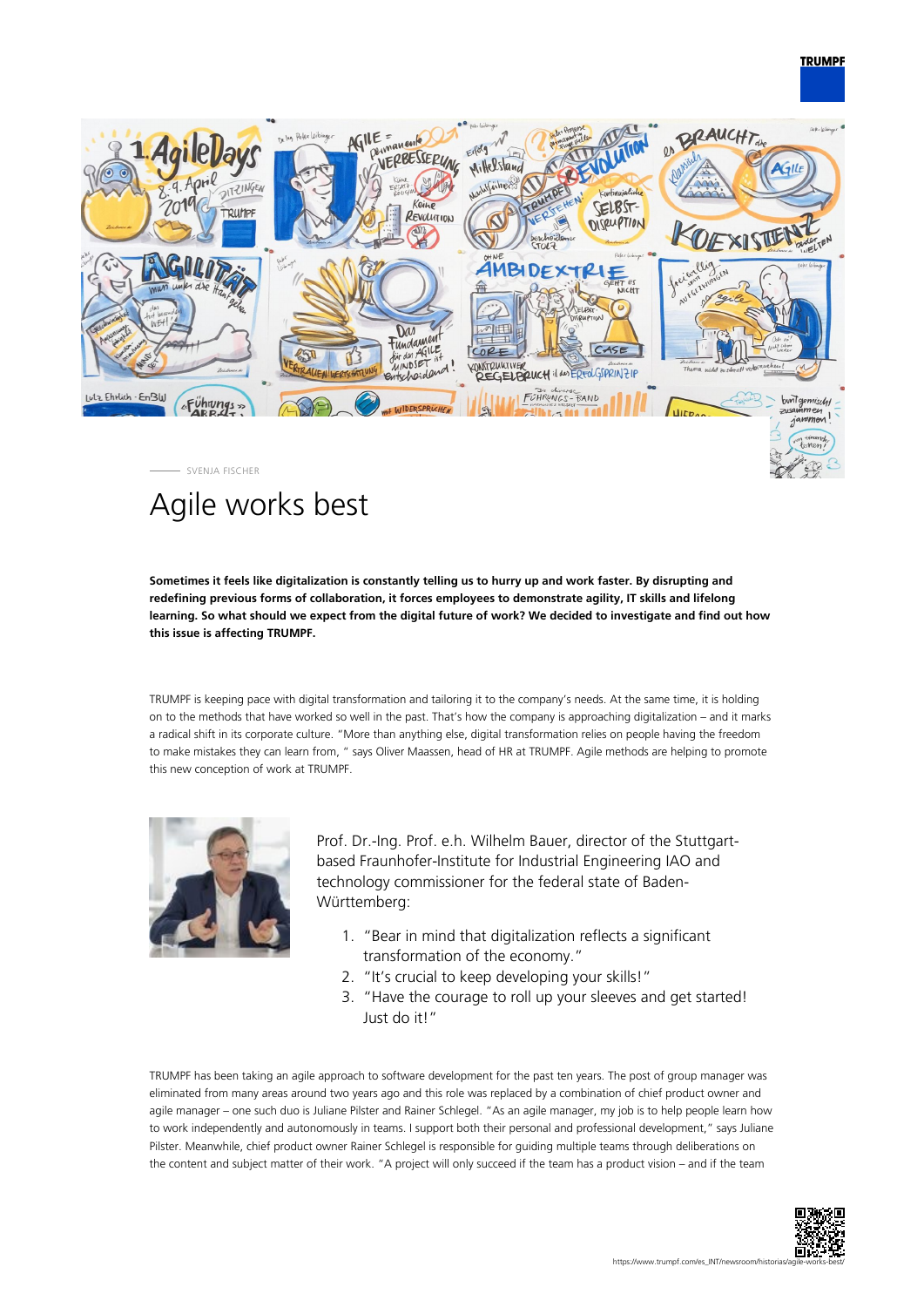## **TRUMPF**



# Agile works best

**Sometimes it feels like digitalization is constantly telling us to hurry up and work faster. By disrupting and redefining previous forms of collaboration, it forces employees to demonstrate agility, IT skills and lifelong learning. So what should we expect from the digital future of work? We decided to investigate and find out how this issue is affecting TRUMPF.**

TRUMPF is keeping pace with digital transformation and tailoring it to the company's needs. At the same time, it is holding on to the methods that have worked so well in the past. That's how the company is approaching digitalization – and it marks a radical shift in its corporate culture. "More than anything else, digital transformation relies on people having the freedom to make mistakes they can learn from, " says Oliver Maassen, head of HR at TRUMPF. Agile methods are helping to promote this new conception of work at TRUMPF.



Prof. Dr.-Ing. Prof. e.h. Wilhelm Bauer, director of the Stuttgartbased Fraunhofer-Institute for Industrial Engineering IAO and technology commissioner for the federal state of Baden-Württemberg:

- 1. "Bear in mind that digitalization reflects a significant transformation of the economy."
- 2. "It's crucial to keep developing your skills!"
- 3. "Have the courage to roll up your sleeves and get started! Just do it!"

TRUMPF has been taking an agile approach to software development for the past ten years. The post of group manager was eliminated from many areas around two years ago and this role was replaced by a combination of chief product owner and agile manager – one such duo is Juliane Pilster and Rainer Schlegel. "As an agile manager, my job is to help people learn how to work independently and autonomously in teams. I support both their personal and professional development," says Juliane Pilster. Meanwhile, chief product owner Rainer Schlegel is responsible for guiding multiple teams through deliberations on the content and subject matter of their work. "A project will only succeed if the team has a product vision – and if the team

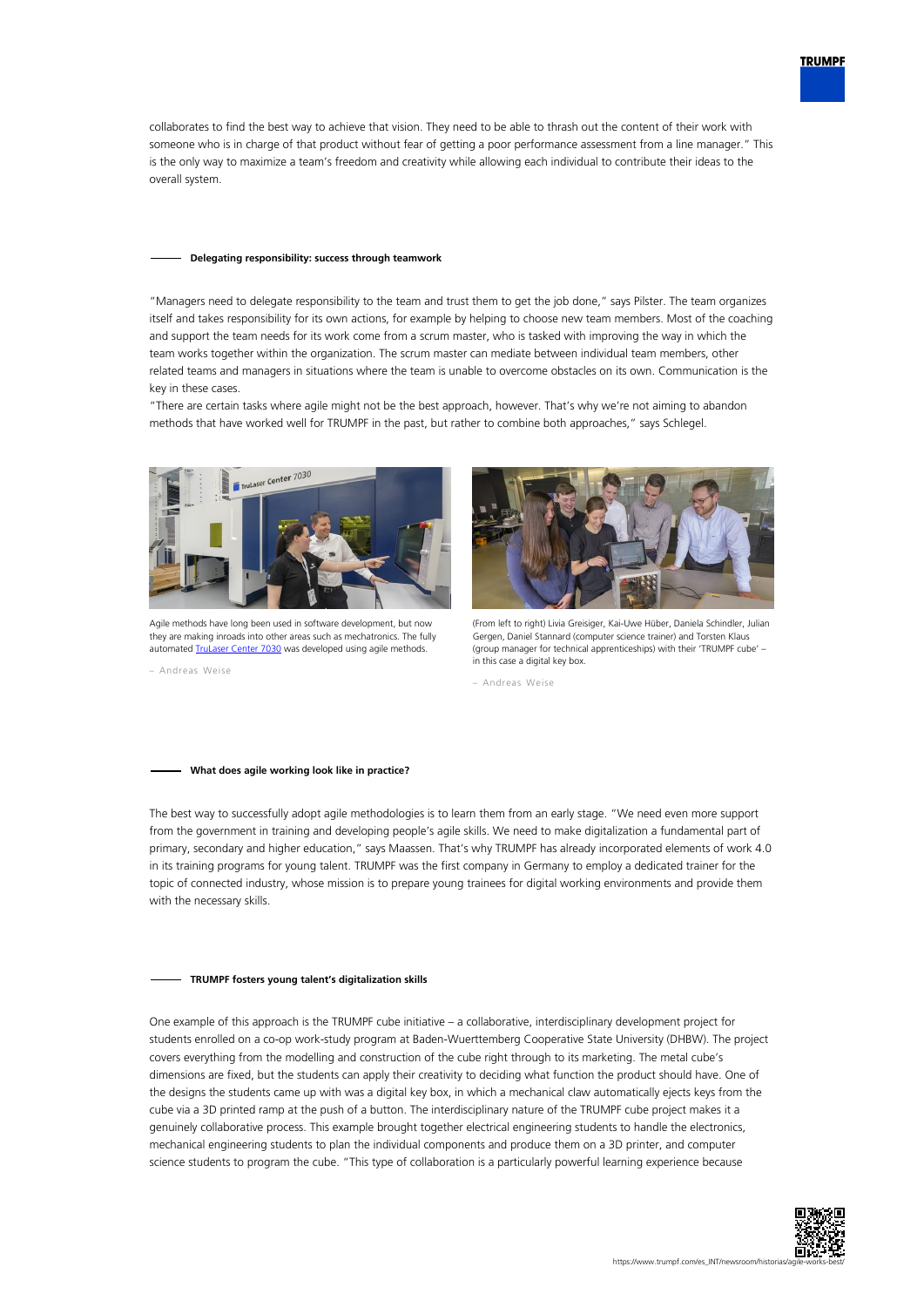collaborates to find the best way to achieve that vision. They need to be able to thrash out the content of their work with someone who is in charge of that product without fear of getting a poor performance assessment from a line manager." This is the only way to maximize a team's freedom and creativity while allowing each individual to contribute their ideas to the overall system.

#### **Delegating responsibility: success through teamwork**

"Managers need to delegate responsibility to the team and trust them to get the job done," says Pilster. The team organizes itself and takes responsibility for its own actions, for example by helping to choose new team members. Most of the coaching and support the team needs for its work come from a scrum master, who is tasked with improving the way in which the team works together within the organization. The scrum master can mediate between individual team members, other related teams and managers in situations where the team is unable to overcome obstacles on its own. Communication is the key in these cases.

"There are certain tasks where agile might not be the best approach, however. That's why we're not aiming to abandon methods that have worked well for TRUMPF in the past, but rather to combine both approaches," says Schlegel.



Agile methods have long been used in software development, but now they are making inroads into other areas such as mechatronics. The fully automated [TruLaser Center 7030](#page--1-0) was developed using agile methods.

– Andreas Weise



(From left to right) Livia Greisiger, Kai-Uwe Hüber, Daniela Schindler, Julian Gergen, Daniel Stannard (computer science trainer) and Torsten Klaus (group manager for technical apprenticeships) with their 'TRUMPF cube' – in this case a digital key box.

– Andreas Weise

### **What does agile working look like in practice?**

The best way to successfully adopt agile methodologies is to learn them from an early stage. "We need even more support from the government in training and developing people's agile skills. We need to make digitalization a fundamental part of primary, secondary and higher education," says Maassen. That's why TRUMPF has already incorporated elements of work 4.0 in its training programs for young talent. TRUMPF was the first company in Germany to employ a dedicated trainer for the topic of connected industry, whose mission is to prepare young trainees for digital working environments and provide them with the necessary skills.

#### **TRUMPF fosters young talent's digitalization skills**

One example of this approach is the TRUMPF cube initiative – a collaborative, interdisciplinary development project for students enrolled on a co-op work-study program at Baden-Wuerttemberg Cooperative State University (DHBW). The project covers everything from the modelling and construction of the cube right through to its marketing. The metal cube's dimensions are fixed, but the students can apply their creativity to deciding what function the product should have. One of the designs the students came up with was a digital key box, in which a mechanical claw automatically ejects keys from the cube via a 3D printed ramp at the push of a button. The interdisciplinary nature of the TRUMPF cube project makes it a genuinely collaborative process. This example brought together electrical engineering students to handle the electronics, mechanical engineering students to plan the individual components and produce them on a 3D printer, and computer science students to program the cube. "This type of collaboration is a particularly powerful learning experience because



**TRUMPF**